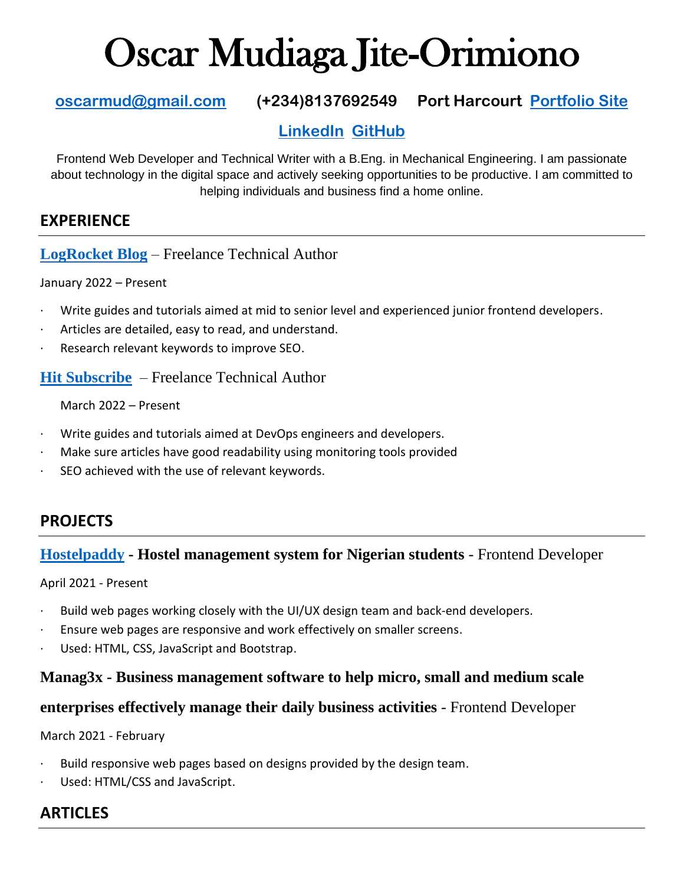# Oscar Mudiaga Jite-Orimiono

# **[oscarmud@gmail.com](mailto:oscarmud@gmail.com) (+234)8137692549 Port Harcourt [Portfolio Site](https://omj.netlify.app/)**

# **[LinkedIn](https://linkedin.com/in.oscarjite-orimiono) [GitHub](https://github.com/OscarJite)**

Frontend Web Developer and Technical Writer with a B.Eng. in Mechanical Engineering. I am passionate about technology in the digital space and actively seeking opportunities to be productive. I am committed to helping individuals and business find a home online.

### **EXPERIENCE**

**[LogRocket Blog](https://blog.logrocket.com/author/oscarjiteorimiono/)** – Freelance Technical Author

January 2022 – Present

- Write guides and tutorials aimed at mid to senior level and experienced junior frontend developers.
- Articles are detailed, easy to read, and understand.
- · Research relevant keywords to improve SEO.

**[Hit Subscribe](https://www.hitsubscribe.com/)** – Freelance Technical Author

March 2022 – Present

- · Write guides and tutorials aimed at DevOps engineers and developers.
- Make sure articles have good readability using monitoring tools provided
- SEO achieved with the use of relevant keywords.

# **PROJECTS**

#### **[Hostelpaddy](https://hostelpaddy.com/) - Hostel management system for Nigerian students** - Frontend Developer

April 2021 - Present

- Build web pages working closely with the UI/UX design team and back-end developers.
- Ensure web pages are responsive and work effectively on smaller screens.
- Used: HTML, CSS, JavaScript and Bootstrap.

#### **Manag3x - Business management software to help micro, small and medium scale**

#### **enterprises effectively manage their daily business activities** - Frontend Developer

March 2021 - February

- Build responsive web pages based on designs provided by the design team.
- Used: HTML/CSS and JavaScript.

# **ARTICLES**